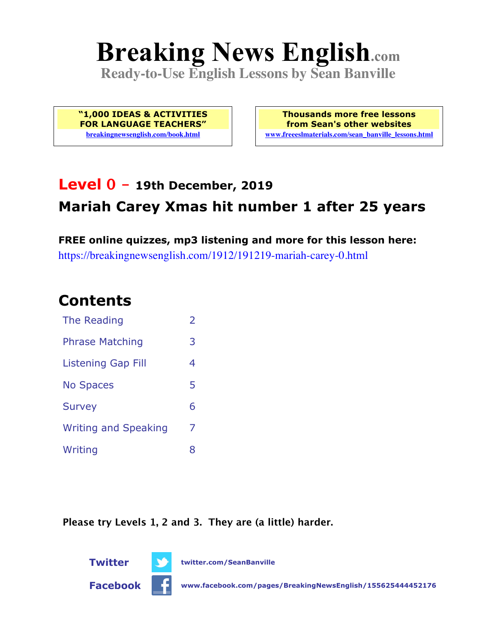# **Breaking News English.com**

**Ready-to-Use English Lessons by Sean Banville**

**"1,000 IDEAS & ACTIVITIES FOR LANGUAGE TEACHERS" breakingnewsenglish.com/book.html**

**Thousands more free lessons from Sean's other websites www.freeeslmaterials.com/sean\_banville\_lessons.html**

# **Level 0 - 19th December, 2019 Mariah Carey Xmas hit number 1 after 25 years**

**FREE online quizzes, mp3 listening and more for this lesson here:** https://breakingnewsenglish.com/1912/191219-mariah-carey-0.html

#### **Contents**

| The Reading                 | $\overline{\mathcal{L}}$ |
|-----------------------------|--------------------------|
| <b>Phrase Matching</b>      | 3                        |
| <b>Listening Gap Fill</b>   | 4                        |
| <b>No Spaces</b>            | 5                        |
| <b>Survey</b>               | 6                        |
| <b>Writing and Speaking</b> | 7                        |
| Writing                     | 8                        |

**Please try Levels 1, 2 and 3. They are (a little) harder.**





**Facebook www.facebook.com/pages/BreakingNewsEnglish/155625444452176**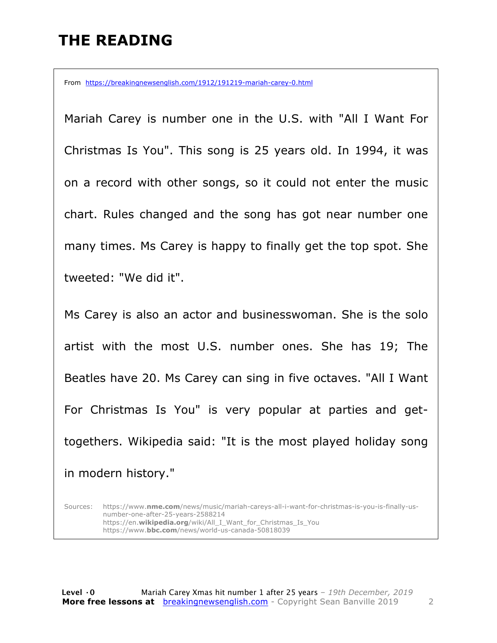#### **THE READING**

From https://breakingnewsenglish.com/1912/191219-mariah-carey-0.html

Mariah Carey is number one in the U.S. with "All I Want For Christmas Is You". This song is 25 years old. In 1994, it was on a record with other songs, so it could not enter the music chart. Rules changed and the song has got near number one many times. Ms Carey is happy to finally get the top spot. She tweeted: "We did it".

Ms Carey is also an actor and businesswoman. She is the solo artist with the most U.S. number ones. She has 19; The Beatles have 20. Ms Carey can sing in five octaves. "All I Want For Christmas Is You" is very popular at parties and gettogethers. Wikipedia said: "It is the most played holiday song in modern history."

Sources: https://www.**nme.com**/news/music/mariah-careys-all-i-want-for-christmas-is-you-is-finally-usnumber-one-after-25-years-2588214 https://en.**wikipedia.org**/wiki/All\_I\_Want\_for\_Christmas\_Is\_You https://www.**bbc.com**/news/world-us-canada-50818039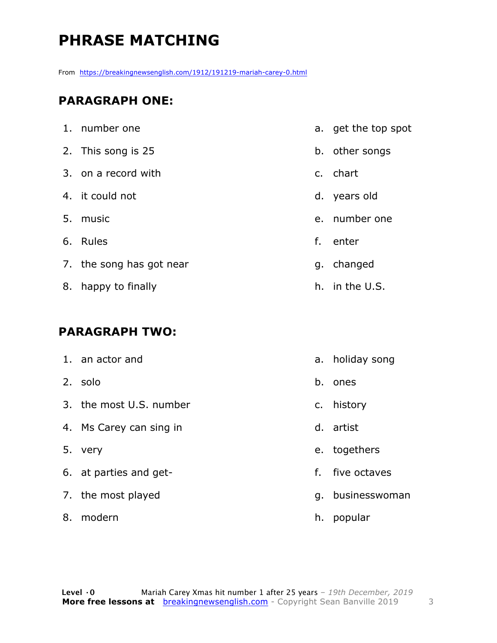# **PHRASE MATCHING**

From https://breakingnewsenglish.com/1912/191219-mariah-carey-0.html

#### **PARAGRAPH ONE:**

| 1. number one            |    | a. get the top spot |
|--------------------------|----|---------------------|
| 2. This song is 25       |    | b. other songs      |
| 3. on a record with      |    | c. chart            |
| 4. it could not          |    | d. years old        |
| 5. music                 |    | e. number one       |
| 6. Rules                 | f. | enter               |
| 7. the song has got near |    | g. changed          |
| 8. happy to finally      |    | h. in the U.S.      |

#### **PARAGRAPH TWO:**

| 1. an actor and         |    | a. holiday song  |
|-------------------------|----|------------------|
| 2. solo                 |    | b. ones          |
| 3. the most U.S. number |    | c. history       |
| 4. Ms Carey can sing in |    | d. artist        |
| 5. very                 |    | e. togethers     |
| 6. at parties and get-  | f. | five octaves     |
| 7. the most played      |    | g. businesswoman |
| 8. modern               |    | h. popular       |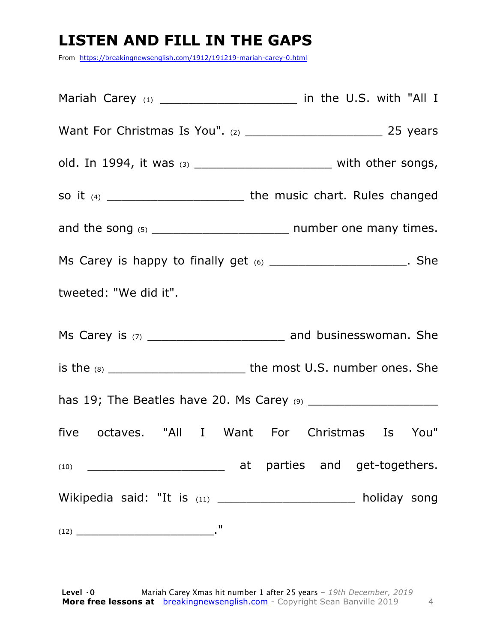# **LISTEN AND FILL IN THE GAPS**

From https://breakingnewsenglish.com/1912/191219-mariah-carey-0.html

Mariah Carey  $(1)$   $\qquad \qquad$  in the U.S. with "All I Want For Christmas Is You". (2) \_\_\_\_\_\_\_\_\_\_\_\_\_\_\_\_\_\_\_ 25 years old. In 1994, it was (3) \_\_\_\_\_\_\_\_\_\_\_\_\_\_\_\_\_\_\_\_\_\_\_\_\_ with other songs, so it (4) \_\_\_\_\_\_\_\_\_\_\_\_\_\_\_\_\_\_\_\_\_\_\_\_\_\_\_\_\_ the music chart. Rules changed and the song (5) \_\_\_\_\_\_\_\_\_\_\_\_\_\_\_\_\_\_\_ number one many times. Ms Carey is happy to finally get  $(6)$  \_\_\_\_\_\_\_\_\_\_\_\_\_\_\_\_\_\_\_\_\_\_. She tweeted: "We did it". Ms Carey is (7) \_\_\_\_\_\_\_\_\_\_\_\_\_\_\_\_\_\_\_\_\_\_\_\_\_ and businesswoman. She is the (8) \_\_\_\_\_\_\_\_\_\_\_\_\_\_\_\_\_\_\_\_\_\_\_\_\_\_\_\_the most U.S. number ones. She has 19; The Beatles have 20. Ms Carey (9) \_\_\_\_\_\_\_\_\_\_\_\_\_\_\_\_\_\_ five octaves. "All I Want For Christmas Is You" (10) \_\_\_\_\_\_\_\_\_\_\_\_\_\_\_\_\_\_\_ at parties and get-togethers. Wikipedia said: "It is  $(11)$  \_\_\_\_\_\_\_\_\_\_\_\_\_\_\_\_\_\_\_\_\_\_\_\_ holiday song (12) \_\_\_\_\_\_\_\_\_\_\_\_\_\_\_\_\_\_\_."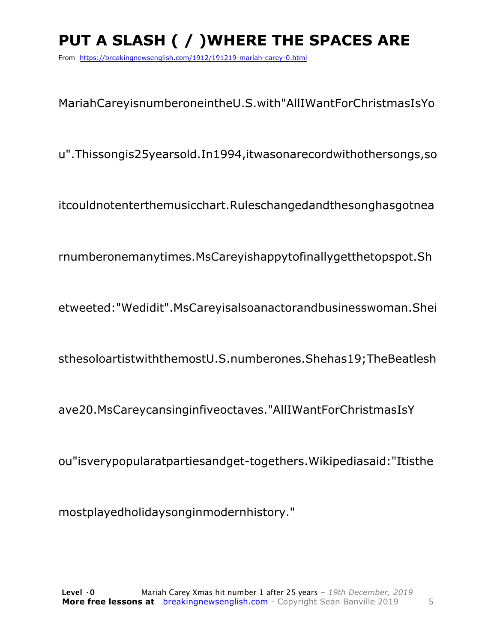# PUT A SLASH ( / ) WHERE THE SPACES ARE

From https://breakingnewsenglish.com/1912/191219-mariah-carey-0.html

MariahCareyisnumberoneintheU.S.with"AllIWantForChristmasIsYo

u".Thissongis25yearsold.In1994,itwasonarecordwithothersongs,so

itcouldnotenterthemusicchart.Ruleschangedandthesonghasgotnea

rnumberonemanytimes.MsCareyishappytofinallygetthetopspot.Sh

etweeted:"Wedidit".MsCareyisalsoanactorandbusinesswoman.Shei

sthesoloartistwiththemostU.S.numberones.Shehas19;TheBeatlesh

ave20.MsCareycansinginfiveoctaves."AllIWantForChristmasIsY

ou"isverypopularatpartiesandget-togethers. Wikipediasaid: "Itisthe

mostplayedholidaysonginmodernhistory."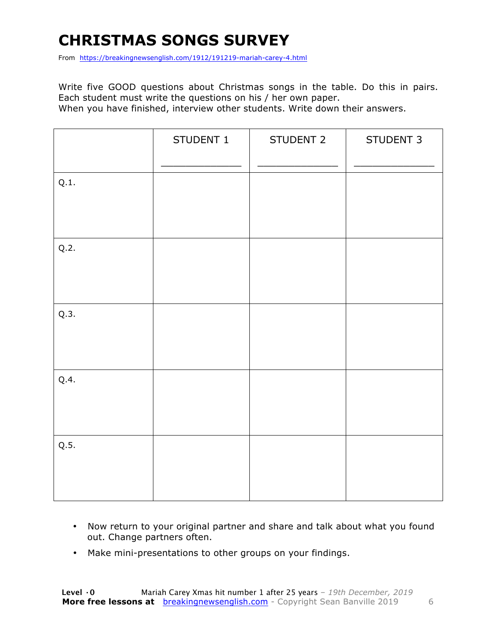# **CHRISTMAS SONGS SURVEY**

From https://breakingnewsenglish.com/1912/191219-mariah-carey-4.html

Write five GOOD questions about Christmas songs in the table. Do this in pairs. Each student must write the questions on his / her own paper. When you have finished, interview other students. Write down their answers.

|      | STUDENT 1 | STUDENT 2 | STUDENT 3 |
|------|-----------|-----------|-----------|
| Q.1. |           |           |           |
| Q.2. |           |           |           |
| Q.3. |           |           |           |
| Q.4. |           |           |           |
| Q.5. |           |           |           |

- Now return to your original partner and share and talk about what you found out. Change partners often.
- Make mini-presentations to other groups on your findings.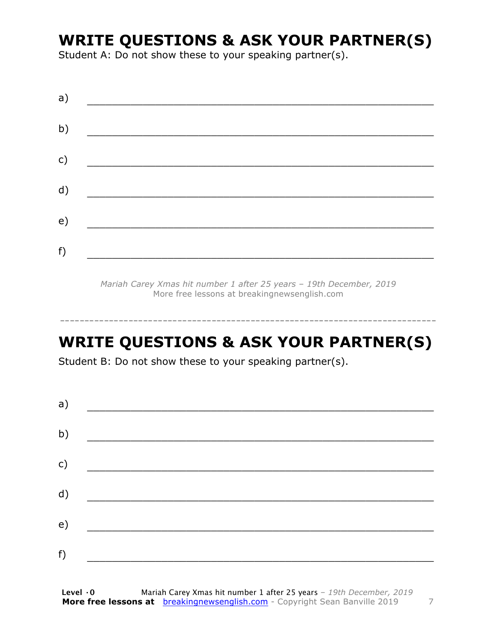#### **WRITE QUESTIONS & ASK YOUR PARTNER(S)**

Student A: Do not show these to your speaking partner(s).

| a) |  |  |
|----|--|--|
| b) |  |  |
| c) |  |  |
| d) |  |  |
| e) |  |  |
| f) |  |  |
|    |  |  |

*Mariah Carey Xmas hit number 1 after 25 years – 19th December, 2019* More free lessons at breakingnewsenglish.com

#### **WRITE QUESTIONS & ASK YOUR PARTNER(S)**

-----------------------------------------------------------------------------

Student B: Do not show these to your speaking partner(s).

| a) |  |  |  |
|----|--|--|--|
| b) |  |  |  |
| c) |  |  |  |
| d) |  |  |  |
| e) |  |  |  |
| f) |  |  |  |
|    |  |  |  |

**Level ·0** Mariah Carey Xmas hit number 1 after 25 years *– 19th December, 2019* **More free lessons at** breakingnewsenglish.com - Copyright Sean Banville 2019 7